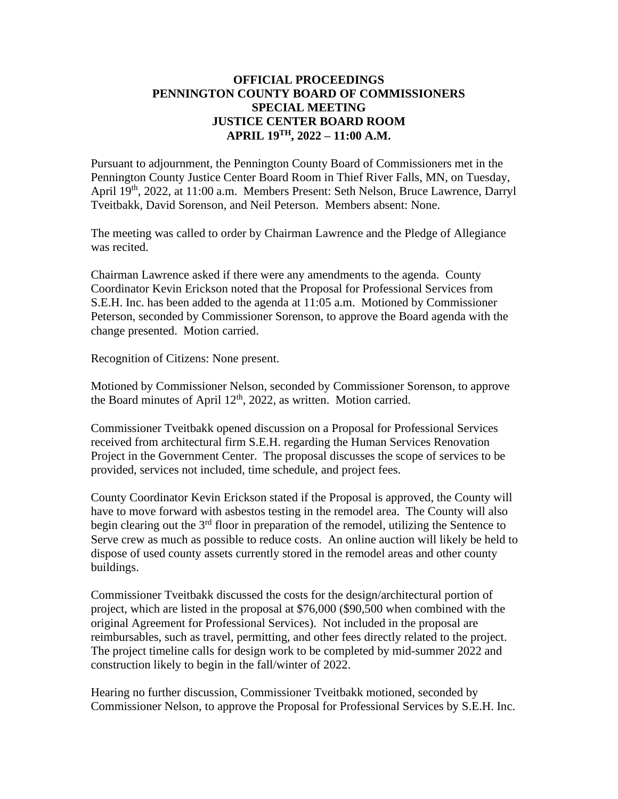## **OFFICIAL PROCEEDINGS PENNINGTON COUNTY BOARD OF COMMISSIONERS SPECIAL MEETING JUSTICE CENTER BOARD ROOM APRIL 19 TH, 2022 – 11:00 A.M.**

Pursuant to adjournment, the Pennington County Board of Commissioners met in the Pennington County Justice Center Board Room in Thief River Falls, MN, on Tuesday, April 19<sup>th</sup>, 2022, at 11:00 a.m. Members Present: Seth Nelson, Bruce Lawrence, Darryl Tveitbakk, David Sorenson, and Neil Peterson. Members absent: None.

The meeting was called to order by Chairman Lawrence and the Pledge of Allegiance was recited.

Chairman Lawrence asked if there were any amendments to the agenda. County Coordinator Kevin Erickson noted that the Proposal for Professional Services from S.E.H. Inc. has been added to the agenda at 11:05 a.m. Motioned by Commissioner Peterson, seconded by Commissioner Sorenson, to approve the Board agenda with the change presented. Motion carried.

Recognition of Citizens: None present.

Motioned by Commissioner Nelson, seconded by Commissioner Sorenson, to approve the Board minutes of April 12<sup>th</sup>, 2022, as written. Motion carried.

Commissioner Tveitbakk opened discussion on a Proposal for Professional Services received from architectural firm S.E.H. regarding the Human Services Renovation Project in the Government Center. The proposal discusses the scope of services to be provided, services not included, time schedule, and project fees.

County Coordinator Kevin Erickson stated if the Proposal is approved, the County will have to move forward with asbestos testing in the remodel area. The County will also begin clearing out the  $3<sup>rd</sup>$  floor in preparation of the remodel, utilizing the Sentence to Serve crew as much as possible to reduce costs. An online auction will likely be held to dispose of used county assets currently stored in the remodel areas and other county buildings.

Commissioner Tveitbakk discussed the costs for the design/architectural portion of project, which are listed in the proposal at \$76,000 (\$90,500 when combined with the original Agreement for Professional Services). Not included in the proposal are reimbursables, such as travel, permitting, and other fees directly related to the project. The project timeline calls for design work to be completed by mid-summer 2022 and construction likely to begin in the fall/winter of 2022.

Hearing no further discussion, Commissioner Tveitbakk motioned, seconded by Commissioner Nelson, to approve the Proposal for Professional Services by S.E.H. Inc.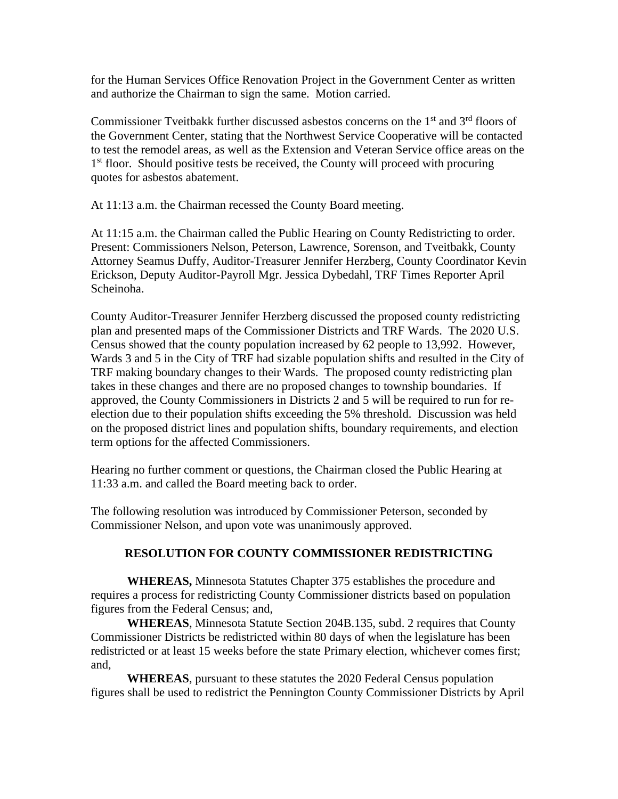for the Human Services Office Renovation Project in the Government Center as written and authorize the Chairman to sign the same. Motion carried.

Commissioner Tveitbakk further discussed asbestos concerns on the 1<sup>st</sup> and 3<sup>rd</sup> floors of the Government Center, stating that the Northwest Service Cooperative will be contacted to test the remodel areas, as well as the Extension and Veteran Service office areas on the 1<sup>st</sup> floor. Should positive tests be received, the County will proceed with procuring quotes for asbestos abatement.

At 11:13 a.m. the Chairman recessed the County Board meeting.

At 11:15 a.m. the Chairman called the Public Hearing on County Redistricting to order. Present: Commissioners Nelson, Peterson, Lawrence, Sorenson, and Tveitbakk, County Attorney Seamus Duffy, Auditor-Treasurer Jennifer Herzberg, County Coordinator Kevin Erickson, Deputy Auditor-Payroll Mgr. Jessica Dybedahl, TRF Times Reporter April Scheinoha.

County Auditor-Treasurer Jennifer Herzberg discussed the proposed county redistricting plan and presented maps of the Commissioner Districts and TRF Wards. The 2020 U.S. Census showed that the county population increased by 62 people to 13,992. However, Wards 3 and 5 in the City of TRF had sizable population shifts and resulted in the City of TRF making boundary changes to their Wards. The proposed county redistricting plan takes in these changes and there are no proposed changes to township boundaries. If approved, the County Commissioners in Districts 2 and 5 will be required to run for reelection due to their population shifts exceeding the 5% threshold. Discussion was held on the proposed district lines and population shifts, boundary requirements, and election term options for the affected Commissioners.

Hearing no further comment or questions, the Chairman closed the Public Hearing at 11:33 a.m. and called the Board meeting back to order.

The following resolution was introduced by Commissioner Peterson, seconded by Commissioner Nelson, and upon vote was unanimously approved.

## **RESOLUTION FOR COUNTY COMMISSIONER REDISTRICTING**

**WHEREAS,** Minnesota Statutes Chapter 375 establishes the procedure and requires a process for redistricting County Commissioner districts based on population figures from the Federal Census; and,

**WHEREAS**, Minnesota Statute Section 204B.135, subd. 2 requires that County Commissioner Districts be redistricted within 80 days of when the legislature has been redistricted or at least 15 weeks before the state Primary election, whichever comes first; and,

**WHEREAS**, pursuant to these statutes the 2020 Federal Census population figures shall be used to redistrict the Pennington County Commissioner Districts by April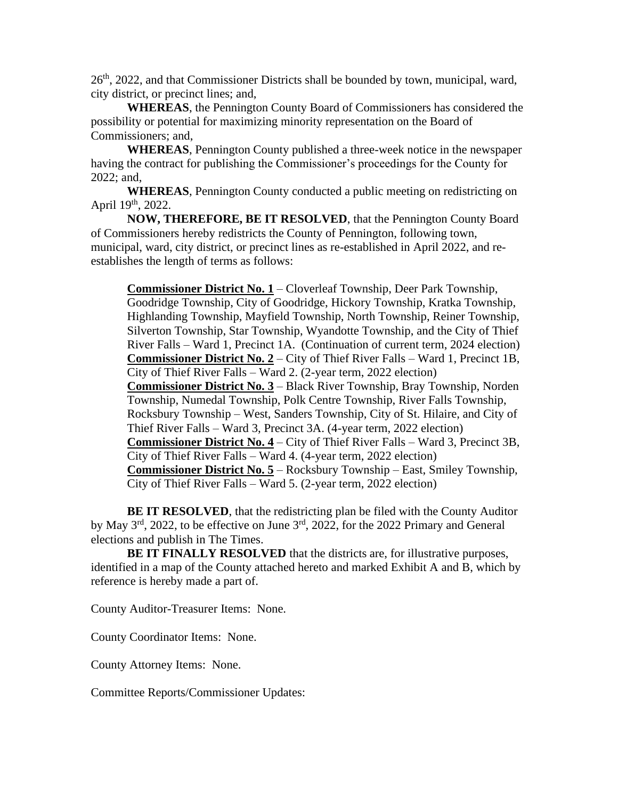26<sup>th</sup>, 2022, and that Commissioner Districts shall be bounded by town, municipal, ward, city district, or precinct lines; and,

**WHEREAS**, the Pennington County Board of Commissioners has considered the possibility or potential for maximizing minority representation on the Board of Commissioners; and,

**WHEREAS**, Pennington County published a three-week notice in the newspaper having the contract for publishing the Commissioner's proceedings for the County for 2022; and,

**WHEREAS**, Pennington County conducted a public meeting on redistricting on April 19<sup>th</sup>, 2022.

**NOW, THEREFORE, BE IT RESOLVED**, that the Pennington County Board of Commissioners hereby redistricts the County of Pennington, following town, municipal, ward, city district, or precinct lines as re-established in April 2022, and reestablishes the length of terms as follows:

**Commissioner District No. 1** – Cloverleaf Township, Deer Park Township, Goodridge Township, City of Goodridge, Hickory Township, Kratka Township, Highlanding Township, Mayfield Township, North Township, Reiner Township, Silverton Township, Star Township, Wyandotte Township, and the City of Thief River Falls – Ward 1, Precinct 1A. (Continuation of current term, 2024 election) **Commissioner District No. 2** – City of Thief River Falls – Ward 1, Precinct 1B, City of Thief River Falls – Ward 2. (2-year term, 2022 election) **Commissioner District No. 3** – Black River Township, Bray Township, Norden Township, Numedal Township, Polk Centre Township, River Falls Township, Rocksbury Township – West, Sanders Township, City of St. Hilaire, and City of Thief River Falls – Ward 3, Precinct 3A. (4-year term, 2022 election) **Commissioner District No. 4** – City of Thief River Falls – Ward 3, Precinct 3B, City of Thief River Falls – Ward 4. (4-year term, 2022 election) **Commissioner District No. 5** – Rocksbury Township – East, Smiley Township, City of Thief River Falls – Ward 5. (2-year term, 2022 election)

**BE IT RESOLVED**, that the redistricting plan be filed with the County Auditor by May  $3<sup>rd</sup>$ , 2022, to be effective on June  $3<sup>rd</sup>$ , 2022, for the 2022 Primary and General elections and publish in The Times.

**BE IT FINALLY RESOLVED** that the districts are, for illustrative purposes, identified in a map of the County attached hereto and marked Exhibit A and B, which by reference is hereby made a part of.

County Auditor-Treasurer Items: None.

County Coordinator Items: None.

County Attorney Items: None.

Committee Reports/Commissioner Updates: